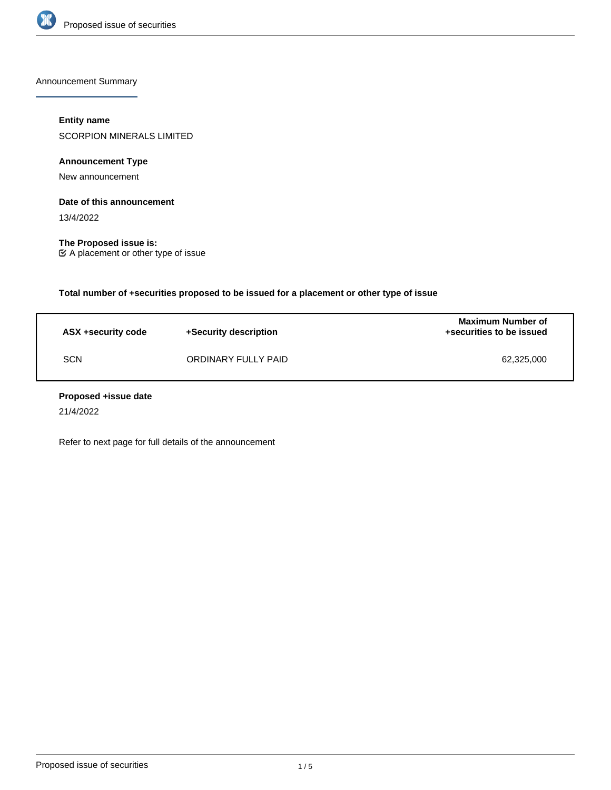

Announcement Summary

# **Entity name**

SCORPION MINERALS LIMITED

**Announcement Type**

New announcement

### **Date of this announcement**

13/4/2022

**The Proposed issue is:** A placement or other type of issue

**Total number of +securities proposed to be issued for a placement or other type of issue**

| ASX +security code | +Security description | <b>Maximum Number of</b><br>+securities to be issued |
|--------------------|-----------------------|------------------------------------------------------|
| <b>SCN</b>         | ORDINARY FULLY PAID   | 62.325.000                                           |

#### **Proposed +issue date**

21/4/2022

Refer to next page for full details of the announcement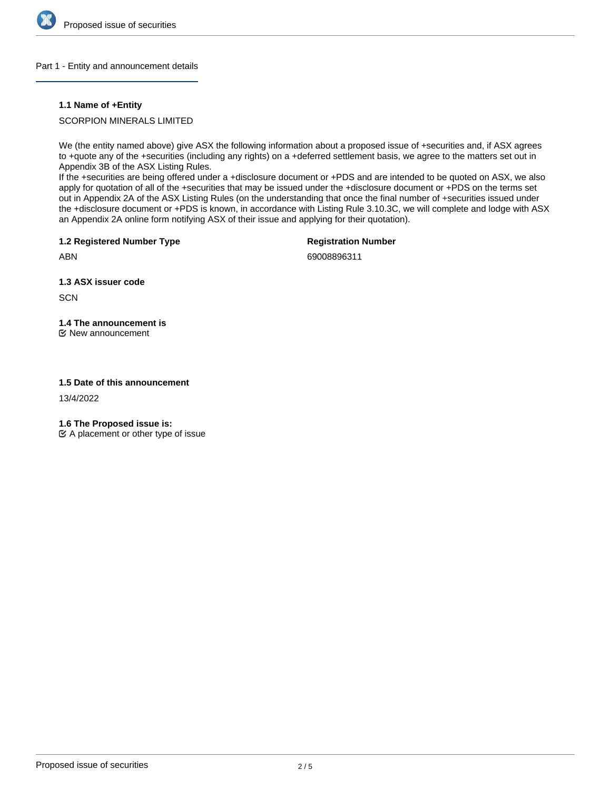

#### Part 1 - Entity and announcement details

## **1.1 Name of +Entity**

## SCORPION MINERALS LIMITED

We (the entity named above) give ASX the following information about a proposed issue of +securities and, if ASX agrees to +quote any of the +securities (including any rights) on a +deferred settlement basis, we agree to the matters set out in Appendix 3B of the ASX Listing Rules.

If the +securities are being offered under a +disclosure document or +PDS and are intended to be quoted on ASX, we also apply for quotation of all of the +securities that may be issued under the +disclosure document or +PDS on the terms set out in Appendix 2A of the ASX Listing Rules (on the understanding that once the final number of +securities issued under the +disclosure document or +PDS is known, in accordance with Listing Rule 3.10.3C, we will complete and lodge with ASX an Appendix 2A online form notifying ASX of their issue and applying for their quotation).

**1.2 Registered Number Type**

**Registration Number**

69008896311

**1.3 ASX issuer code**

**SCN** 

ABN

# **1.4 The announcement is**

New announcement

# **1.5 Date of this announcement**

13/4/2022

**1.6 The Proposed issue is:**

 $\mathfrak{C}$  A placement or other type of issue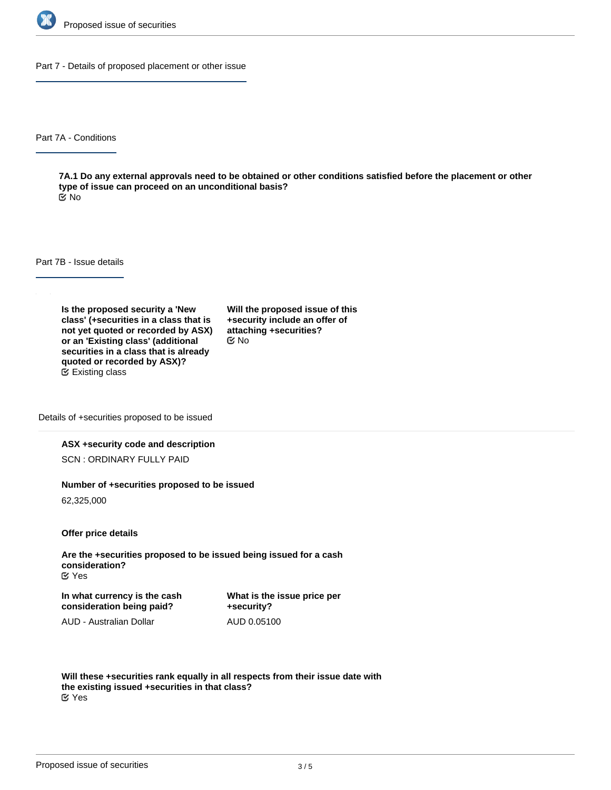

Part 7 - Details of proposed placement or other issue

Part 7A - Conditions

**7A.1 Do any external approvals need to be obtained or other conditions satisfied before the placement or other type of issue can proceed on an unconditional basis?** No

Part 7B - Issue details

**Is the proposed security a 'New class' (+securities in a class that is not yet quoted or recorded by ASX) or an 'Existing class' (additional securities in a class that is already quoted or recorded by ASX)?** Existing class

**Will the proposed issue of this +security include an offer of attaching +securities?** No

Details of +securities proposed to be issued

#### **ASX +security code and description**

SCN : ORDINARY FULLY PAID

#### **Number of +securities proposed to be issued**

62,325,000

**Offer price details**

**Are the +securities proposed to be issued being issued for a cash consideration?** Yes

**In what currency is the cash consideration being paid?**

**What is the issue price per +security?** AUD 0.05100

AUD - Australian Dollar

**Will these +securities rank equally in all respects from their issue date with the existing issued +securities in that class?** Yes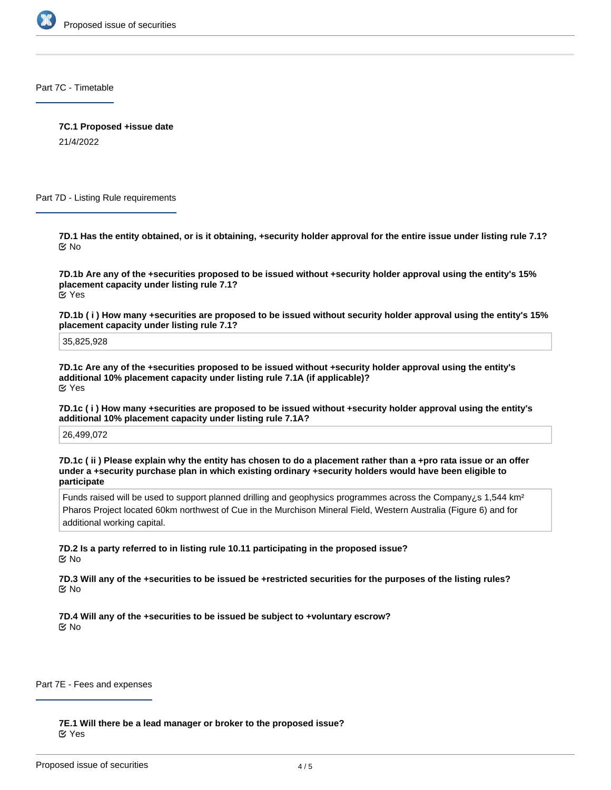

Part 7C - Timetable

**7C.1 Proposed +issue date**

21/4/2022

Part 7D - Listing Rule requirements

**7D.1 Has the entity obtained, or is it obtaining, +security holder approval for the entire issue under listing rule 7.1?** No

**7D.1b Are any of the +securities proposed to be issued without +security holder approval using the entity's 15% placement capacity under listing rule 7.1?** Yes

**7D.1b ( i ) How many +securities are proposed to be issued without security holder approval using the entity's 15% placement capacity under listing rule 7.1?**

35,825,928

**7D.1c Are any of the +securities proposed to be issued without +security holder approval using the entity's additional 10% placement capacity under listing rule 7.1A (if applicable)?** Yes

**7D.1c ( i ) How many +securities are proposed to be issued without +security holder approval using the entity's additional 10% placement capacity under listing rule 7.1A?**

26,499,072

**7D.1c ( ii ) Please explain why the entity has chosen to do a placement rather than a +pro rata issue or an offer under a +security purchase plan in which existing ordinary +security holders would have been eligible to participate**

Funds raised will be used to support planned drilling and geophysics programmes across the Company is 1,544 km<sup>2</sup> Pharos Project located 60km northwest of Cue in the Murchison Mineral Field, Western Australia (Figure 6) and for additional working capital.

**7D.2 Is a party referred to in listing rule 10.11 participating in the proposed issue?** No

**7D.3 Will any of the +securities to be issued be +restricted securities for the purposes of the listing rules?** No

**7D.4 Will any of the +securities to be issued be subject to +voluntary escrow?** No

Part 7E - Fees and expenses

**7E.1 Will there be a lead manager or broker to the proposed issue?** Yes

**7E.1a Who is the lead manager/broker?**